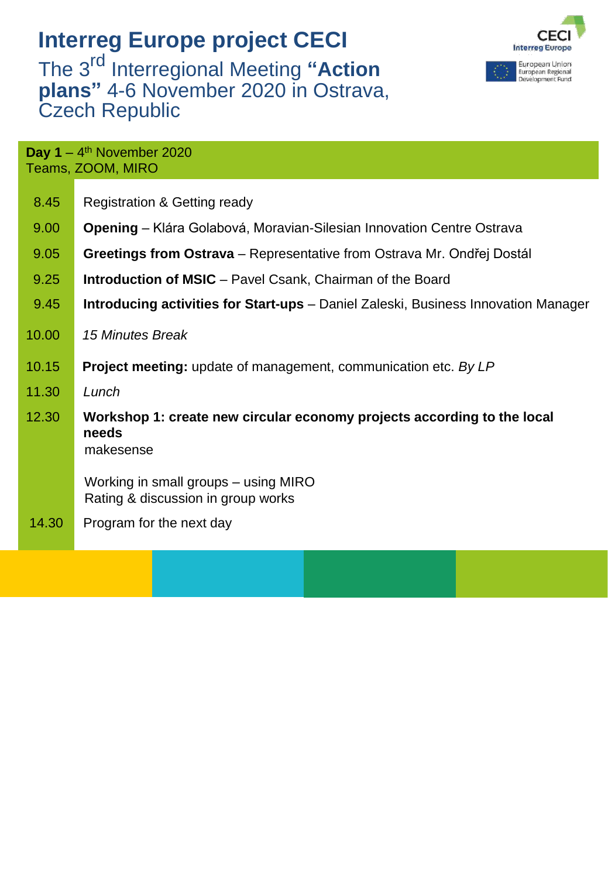## **Interreg Europe project CECI**

The 3 rd Interregional Meeting **"Action plans"** 4-6 November 2020 in Ostrava, Czech Republic





| Day $1 - 4$ <sup>th</sup> November 2020<br>Teams, ZOOM, MIRO |                                                                                               |  |
|--------------------------------------------------------------|-----------------------------------------------------------------------------------------------|--|
| 8.45                                                         | <b>Registration &amp; Getting ready</b>                                                       |  |
| 9.00                                                         | <b>Opening</b> – Klára Golabová, Moravian-Silesian Innovation Centre Ostrava                  |  |
| 9.05                                                         | Greetings from Ostrava – Representative from Ostrava Mr. Ondřej Dostál                        |  |
| 9.25                                                         | <b>Introduction of MSIC</b> – Pavel Csank, Chairman of the Board                              |  |
| 9.45                                                         | <b>Introducing activities for Start-ups</b> – Daniel Zaleski, Business Innovation Manager     |  |
| 10.00                                                        | 15 Minutes Break                                                                              |  |
| 10.15                                                        | <b>Project meeting:</b> update of management, communication etc. By LP                        |  |
| 11.30                                                        | Lunch                                                                                         |  |
| 12.30                                                        | Workshop 1: create new circular economy projects according to the local<br>needs<br>makesense |  |
|                                                              | Working in small groups – using MIRO<br>Rating & discussion in group works                    |  |
| 14.30                                                        | Program for the next day                                                                      |  |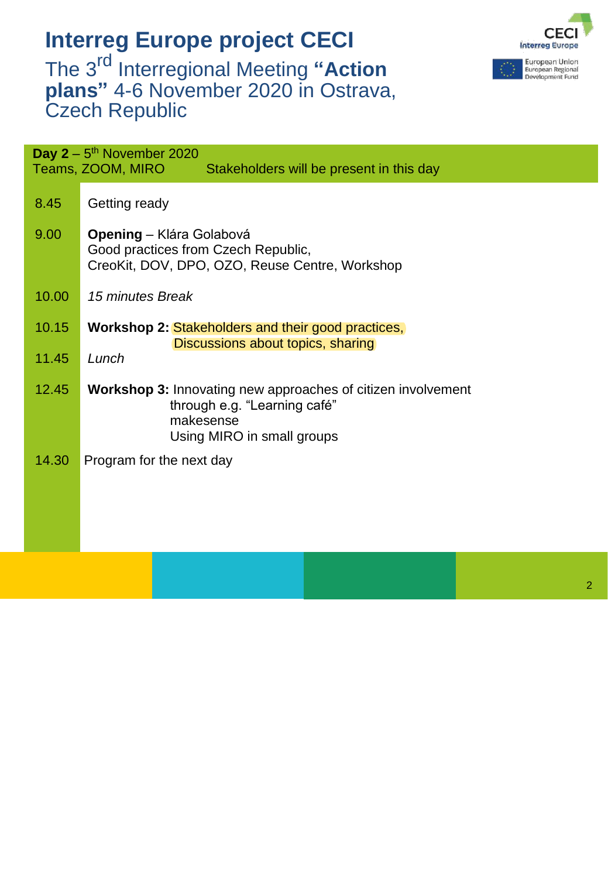## **Interreg Europe project CECI** The 3 rd Interregional Meeting **"Action plans"** 4-6 November 2020 in Ostrava, Czech Republic



2

| Day $2 - 5$ <sup>th</sup> November 2020<br>Teams, ZOOM, MIRO<br>Stakeholders will be present in this day |                                                                                                                                                |  |
|----------------------------------------------------------------------------------------------------------|------------------------------------------------------------------------------------------------------------------------------------------------|--|
| 8.45                                                                                                     | Getting ready                                                                                                                                  |  |
| 9.00                                                                                                     | <b>Opening</b> – Klára Golabová<br>Good practices from Czech Republic,<br>CreoKit, DOV, DPO, OZO, Reuse Centre, Workshop                       |  |
| 10.00                                                                                                    | 15 minutes Break                                                                                                                               |  |
| 10.15                                                                                                    | Workshop 2: Stakeholders and their good practices,<br>Discussions about topics, sharing                                                        |  |
| 11.45                                                                                                    | Lunch                                                                                                                                          |  |
| 12.45                                                                                                    | <b>Workshop 3:</b> Innovating new approaches of citizen involvement<br>through e.g. "Learning café"<br>makesense<br>Using MIRO in small groups |  |
| 14.30                                                                                                    | Program for the next day                                                                                                                       |  |